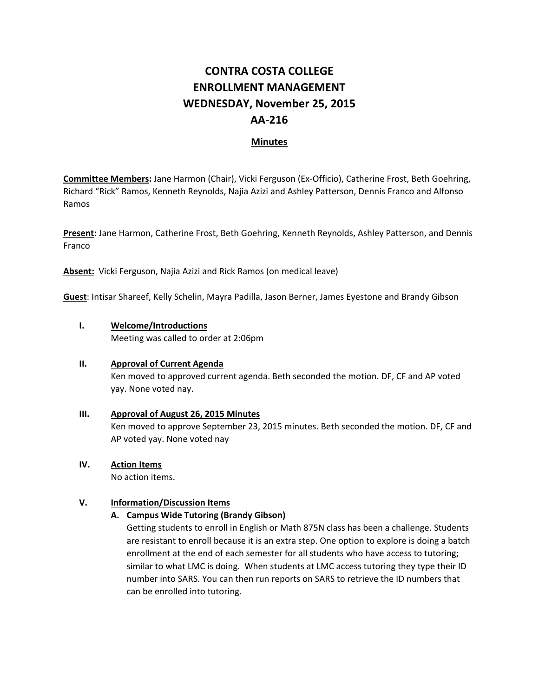# **CONTRA COSTA COLLEGE ENROLLMENT MANAGEMENT WEDNESDAY, November 25, 2015 AA‐216**

# **Minutes**

**Committee Members:** Jane Harmon (Chair), Vicki Ferguson (Ex‐Officio), Catherine Frost, Beth Goehring, Richard "Rick" Ramos, Kenneth Reynolds, Najia Azizi and Ashley Patterson, Dennis Franco and Alfonso Ramos

**Present:** Jane Harmon, Catherine Frost, Beth Goehring, Kenneth Reynolds, Ashley Patterson, and Dennis Franco

**Absent:** Vicki Ferguson, Najia Azizi and Rick Ramos (on medical leave)

**Guest**: Intisar Shareef, Kelly Schelin, Mayra Padilla, Jason Berner, James Eyestone and Brandy Gibson

#### **I. Welcome/Introductions**

Meeting was called to order at 2:06pm

#### **II. Approval of Current Agenda**

Ken moved to approved current agenda. Beth seconded the motion. DF, CF and AP voted yay. None voted nay.

- **III. Approval of August 26, 2015 Minutes** Ken moved to approve September 23, 2015 minutes. Beth seconded the motion. DF, CF and AP voted yay. None voted nay
- **IV. Action Items**

No action items.

# **V. Information/Discussion Items**

# **A. Campus Wide Tutoring (Brandy Gibson)**

Getting students to enroll in English or Math 875N class has been a challenge. Students are resistant to enroll because it is an extra step. One option to explore is doing a batch enrollment at the end of each semester for all students who have access to tutoring; similar to what LMC is doing. When students at LMC access tutoring they type their ID number into SARS. You can then run reports on SARS to retrieve the ID numbers that can be enrolled into tutoring.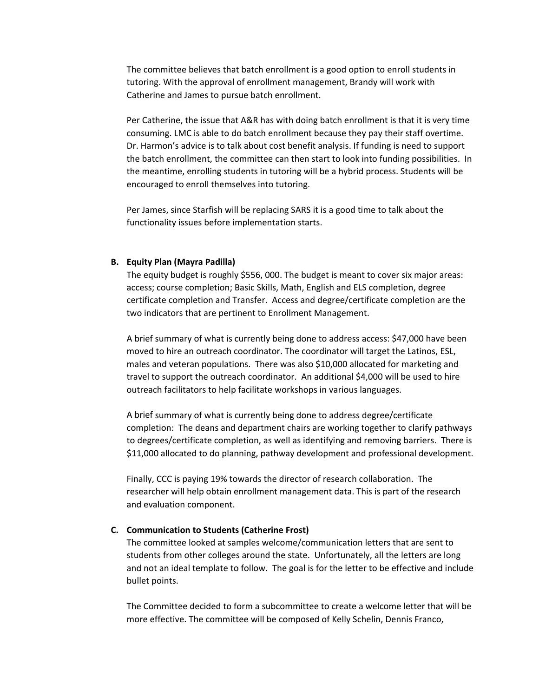The committee believes that batch enrollment is a good option to enroll students in tutoring. With the approval of enrollment management, Brandy will work with Catherine and James to pursue batch enrollment.

Per Catherine, the issue that A&R has with doing batch enrollment is that it is very time consuming. LMC is able to do batch enrollment because they pay their staff overtime. Dr. Harmon's advice is to talk about cost benefit analysis. If funding is need to support the batch enrollment, the committee can then start to look into funding possibilities. In the meantime, enrolling students in tutoring will be a hybrid process. Students will be encouraged to enroll themselves into tutoring.

Per James, since Starfish will be replacing SARS it is a good time to talk about the functionality issues before implementation starts.

#### **B. Equity Plan (Mayra Padilla)**

The equity budget is roughly \$556, 000. The budget is meant to cover six major areas: access; course completion; Basic Skills, Math, English and ELS completion, degree certificate completion and Transfer. Access and degree/certificate completion are the two indicators that are pertinent to Enrollment Management.

A brief summary of what is currently being done to address access: \$47,000 have been moved to hire an outreach coordinator. The coordinator will target the Latinos, ESL, males and veteran populations. There was also \$10,000 allocated for marketing and travel to support the outreach coordinator. An additional \$4,000 will be used to hire outreach facilitators to help facilitate workshops in various languages.

A brief summary of what is currently being done to address degree/certificate completion: The deans and department chairs are working together to clarify pathways to degrees/certificate completion, as well as identifying and removing barriers. There is \$11,000 allocated to do planning, pathway development and professional development.

Finally, CCC is paying 19% towards the director of research collaboration. The researcher will help obtain enrollment management data. This is part of the research and evaluation component.

#### **C. Communication to Students (Catherine Frost)**

The committee looked at samples welcome/communication letters that are sent to students from other colleges around the state. Unfortunately, all the letters are long and not an ideal template to follow. The goal is for the letter to be effective and include bullet points.

The Committee decided to form a subcommittee to create a welcome letter that will be more effective. The committee will be composed of Kelly Schelin, Dennis Franco,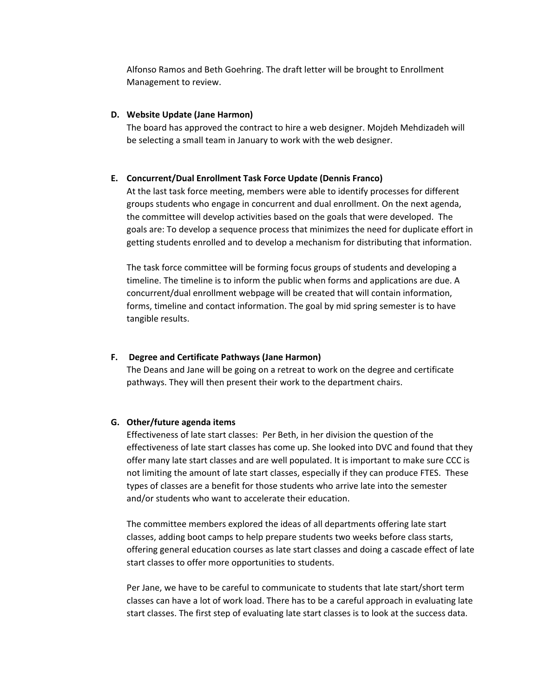Alfonso Ramos and Beth Goehring. The draft letter will be brought to Enrollment Management to review.

#### **D. Website Update (Jane Harmon)**

The board has approved the contract to hire a web designer. Mojdeh Mehdizadeh will be selecting a small team in January to work with the web designer.

#### **E. Concurrent/Dual Enrollment Task Force Update (Dennis Franco)**

At the last task force meeting, members were able to identify processes for different groups students who engage in concurrent and dual enrollment. On the next agenda, the committee will develop activities based on the goals that were developed. The goals are: To develop a sequence process that minimizes the need for duplicate effort in getting students enrolled and to develop a mechanism for distributing that information.

The task force committee will be forming focus groups of students and developing a timeline. The timeline is to inform the public when forms and applications are due. A concurrent/dual enrollment webpage will be created that will contain information, forms, timeline and contact information. The goal by mid spring semester is to have tangible results.

# **F. Degree and Certificate Pathways (Jane Harmon)**

The Deans and Jane will be going on a retreat to work on the degree and certificate pathways. They will then present their work to the department chairs.

#### **G. Other/future agenda items**

Effectiveness of late start classes: Per Beth, in her division the question of the effectiveness of late start classes has come up. She looked into DVC and found that they offer many late start classes and are well populated. It is important to make sure CCC is not limiting the amount of late start classes, especially if they can produce FTES. These types of classes are a benefit for those students who arrive late into the semester and/or students who want to accelerate their education.

The committee members explored the ideas of all departments offering late start classes, adding boot camps to help prepare students two weeks before class starts, offering general education courses as late start classes and doing a cascade effect of late start classes to offer more opportunities to students.

Per Jane, we have to be careful to communicate to students that late start/short term classes can have a lot of work load. There has to be a careful approach in evaluating late start classes. The first step of evaluating late start classes is to look at the success data.